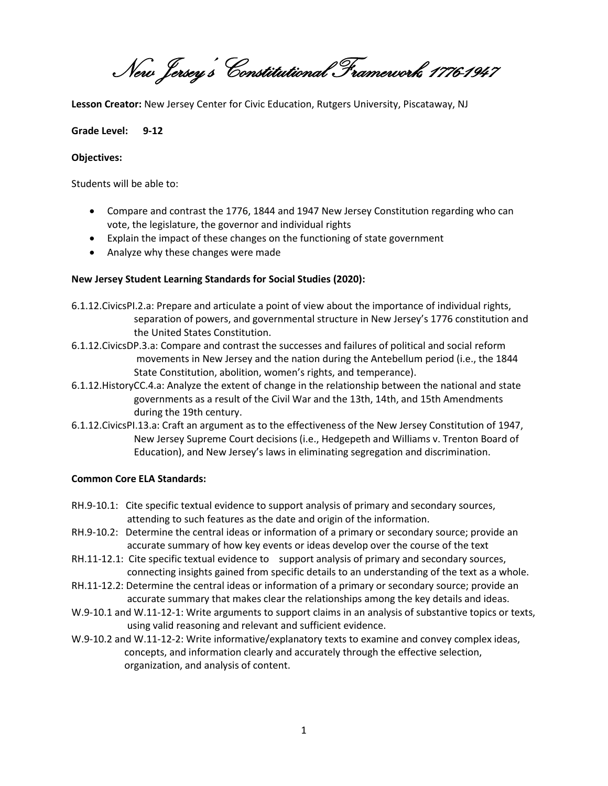New Jersey's Constitutional Framework, 1776-1947

**Lesson Creator:** New Jersey Center for Civic Education, Rutgers University, Piscataway, NJ

#### **Grade Level: 9-12**

#### **Objectives:**

Students will be able to:

- Compare and contrast the 1776, 1844 and 1947 New Jersey Constitution regarding who can vote, the legislature, the governor and individual rights
- Explain the impact of these changes on the functioning of state government
- Analyze why these changes were made

#### **New Jersey Student Learning Standards for Social Studies (2020):**

- 6.1.12.CivicsPI.2.a: Prepare and articulate a point of view about the importance of individual rights, separation of powers, and governmental structure in New Jersey's 1776 constitution and the United States Constitution.
- 6.1.12.CivicsDP.3.a: Compare and contrast the successes and failures of political and social reform movements in New Jersey and the nation during the Antebellum period (i.e., the 1844 State Constitution, abolition, women's rights, and temperance).
- 6.1.12.HistoryCC.4.a: Analyze the extent of change in the relationship between the national and state governments as a result of the Civil War and the 13th, 14th, and 15th Amendments during the 19th century.
- 6.1.12.CivicsPI.13.a: Craft an argument as to the effectiveness of the New Jersey Constitution of 1947, New Jersey Supreme Court decisions (i.e., Hedgepeth and Williams v. Trenton Board of Education), and New Jersey's laws in eliminating segregation and discrimination.

#### **Common Core ELA Standards:**

- RH.9-10.1: Cite specific textual evidence to support analysis of primary and secondary sources, attending to such features as the date and origin of the information.
- RH.9-10.2: Determine the central ideas or information of a primary or secondary source; provide an accurate summary of how key events or ideas develop over the course of the text
- RH.11-12.1: Cite specific textual evidence to support analysis of primary and secondary sources, connecting insights gained from specific details to an understanding of the text as a whole.
- RH.11-12.2: Determine the central ideas or information of a primary or secondary source; provide an accurate summary that makes clear the relationships among the key details and ideas.
- W.9-10.1 and W.11-12-1: Write arguments to support claims in an analysis of substantive topics or texts, using valid reasoning and relevant and sufficient evidence.
- W.9-10.2 and W.11-12-2: Write informative/explanatory texts to examine and convey complex ideas, concepts, and information clearly and accurately through the effective selection, organization, and analysis of content.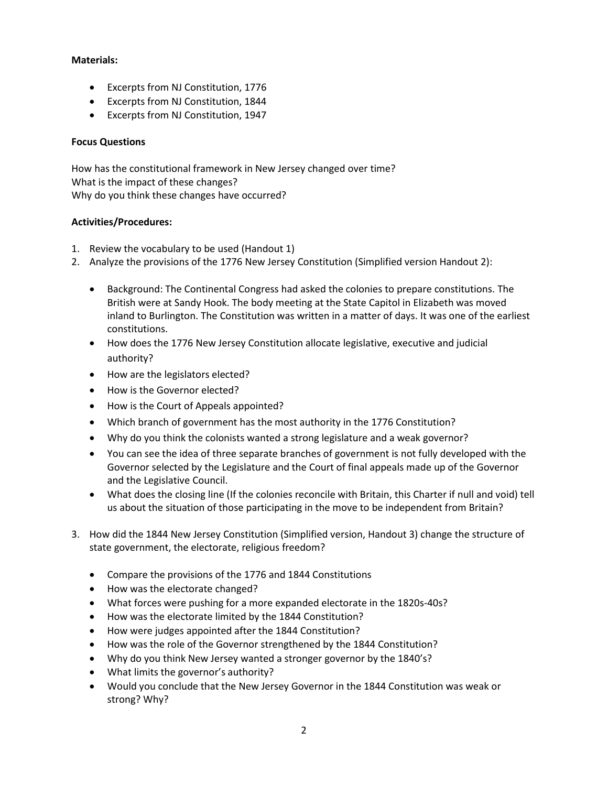#### **Materials:**

- Excerpts from NJ Constitution, 1776
- Excerpts from NJ Constitution, 1844
- Excerpts from NJ Constitution, 1947

#### **Focus Questions**

How has the constitutional framework in New Jersey changed over time? What is the impact of these changes? Why do you think these changes have occurred?

#### **Activities/Procedures:**

- 1. Review the vocabulary to be used (Handout 1)
- 2. Analyze the provisions of the 1776 New Jersey Constitution (Simplified version Handout 2):
	- Background: The Continental Congress had asked the colonies to prepare constitutions. The British were at Sandy Hook. The body meeting at the State Capitol in Elizabeth was moved inland to Burlington. The Constitution was written in a matter of days. It was one of the earliest constitutions.
	- How does the 1776 New Jersey Constitution allocate legislative, executive and judicial authority?
	- How are the legislators elected?
	- How is the Governor elected?
	- How is the Court of Appeals appointed?
	- Which branch of government has the most authority in the 1776 Constitution?
	- Why do you think the colonists wanted a strong legislature and a weak governor?
	- You can see the idea of three separate branches of government is not fully developed with the Governor selected by the Legislature and the Court of final appeals made up of the Governor and the Legislative Council.
	- What does the closing line (If the colonies reconcile with Britain, this Charter if null and void) tell us about the situation of those participating in the move to be independent from Britain?
- 3. How did the 1844 New Jersey Constitution (Simplified version, Handout 3) change the structure of state government, the electorate, religious freedom?
	- Compare the provisions of the 1776 and 1844 Constitutions
	- How was the electorate changed?
	- What forces were pushing for a more expanded electorate in the 1820s-40s?
	- How was the electorate limited by the 1844 Constitution?
	- How were judges appointed after the 1844 Constitution?
	- How was the role of the Governor strengthened by the 1844 Constitution?
	- Why do you think New Jersey wanted a stronger governor by the 1840's?
	- What limits the governor's authority?
	- Would you conclude that the New Jersey Governor in the 1844 Constitution was weak or strong? Why?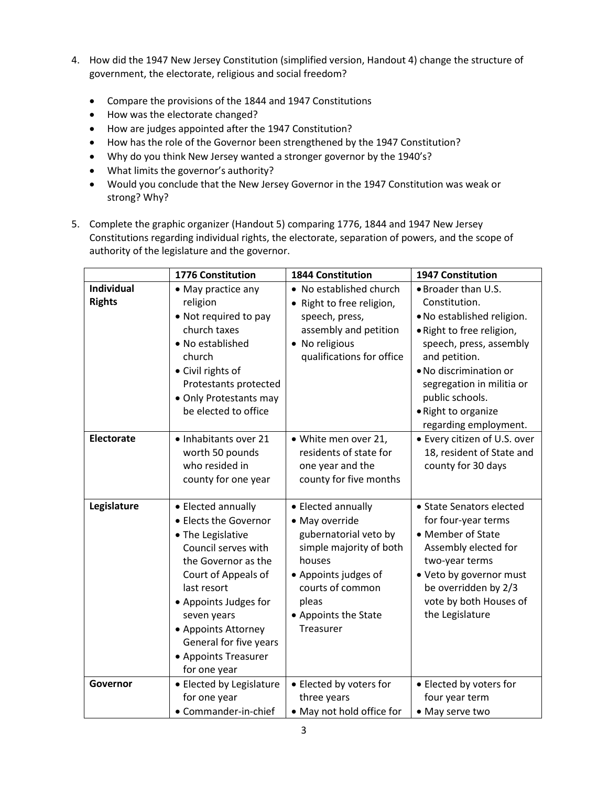- 4. How did the 1947 New Jersey Constitution (simplified version, Handout 4) change the structure of government, the electorate, religious and social freedom?
	- Compare the provisions of the 1844 and 1947 Constitutions
	- How was the electorate changed?
	- How are judges appointed after the 1947 Constitution?
	- How has the role of the Governor been strengthened by the 1947 Constitution?
	- Why do you think New Jersey wanted a stronger governor by the 1940's?
	- What limits the governor's authority?
	- Would you conclude that the New Jersey Governor in the 1947 Constitution was weak or strong? Why?
- 5. Complete the graphic organizer (Handout 5) comparing 1776, 1844 and 1947 New Jersey Constitutions regarding individual rights, the electorate, separation of powers, and the scope of authority of the legislature and the governor.

|                                    | <b>1776 Constitution</b>                                                                                                                                                                                                                                                              | <b>1844 Constitution</b>                                                                                                                                                                     | <b>1947 Constitution</b>                                                                                                                                                                                                                                              |
|------------------------------------|---------------------------------------------------------------------------------------------------------------------------------------------------------------------------------------------------------------------------------------------------------------------------------------|----------------------------------------------------------------------------------------------------------------------------------------------------------------------------------------------|-----------------------------------------------------------------------------------------------------------------------------------------------------------------------------------------------------------------------------------------------------------------------|
| <b>Individual</b><br><b>Rights</b> | • May practice any<br>religion<br>• Not required to pay<br>church taxes<br>• No established<br>church<br>• Civil rights of<br>Protestants protected<br>• Only Protestants may<br>be elected to office                                                                                 | • No established church<br>• Right to free religion,<br>speech, press,<br>assembly and petition<br>• No religious<br>qualifications for office                                               | • Broader than U.S.<br>Constitution.<br>. No established religion.<br>· Right to free religion,<br>speech, press, assembly<br>and petition.<br>. No discrimination or<br>segregation in militia or<br>public schools.<br>· Right to organize<br>regarding employment. |
| <b>Electorate</b>                  | • Inhabitants over 21<br>worth 50 pounds<br>who resided in<br>county for one year                                                                                                                                                                                                     | • White men over 21,<br>residents of state for<br>one year and the<br>county for five months                                                                                                 | • Every citizen of U.S. over<br>18, resident of State and<br>county for 30 days                                                                                                                                                                                       |
| Legislature                        | • Elected annually<br>• Elects the Governor<br>• The Legislative<br>Council serves with<br>the Governor as the<br>Court of Appeals of<br>last resort<br>• Appoints Judges for<br>seven years<br>• Appoints Attorney<br>General for five years<br>• Appoints Treasurer<br>for one year | • Elected annually<br>• May override<br>gubernatorial veto by<br>simple majority of both<br>houses<br>• Appoints judges of<br>courts of common<br>pleas<br>• Appoints the State<br>Treasurer | • State Senators elected<br>for four-year terms<br>• Member of State<br>Assembly elected for<br>two-year terms<br>• Veto by governor must<br>be overridden by 2/3<br>vote by both Houses of<br>the Legislature                                                        |
| Governor                           | • Elected by Legislature<br>for one year<br>• Commander-in-chief                                                                                                                                                                                                                      | • Elected by voters for<br>three years<br>• May not hold office for                                                                                                                          | • Elected by voters for<br>four year term<br>• May serve two                                                                                                                                                                                                          |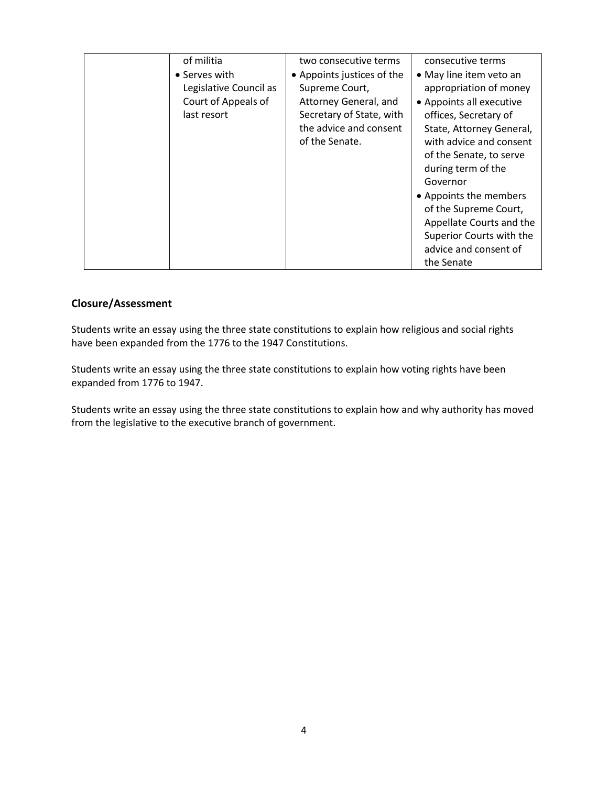| of militia<br>• Serves with<br>Legislative Council as<br>Court of Appeals of<br>last resort | two consecutive terms<br>• Appoints justices of the<br>Supreme Court,<br>Attorney General, and<br>Secretary of State, with<br>the advice and consent | consecutive terms<br>• May line item veto an<br>appropriation of money<br>• Appoints all executive<br>offices, Secretary of<br>State, Attorney General,                                                                                |
|---------------------------------------------------------------------------------------------|------------------------------------------------------------------------------------------------------------------------------------------------------|----------------------------------------------------------------------------------------------------------------------------------------------------------------------------------------------------------------------------------------|
|                                                                                             | of the Senate.                                                                                                                                       | with advice and consent<br>of the Senate, to serve<br>during term of the<br>Governor<br>• Appoints the members<br>of the Supreme Court,<br>Appellate Courts and the<br>Superior Courts with the<br>advice and consent of<br>the Senate |

### **Closure/Assessment**

Students write an essay using the three state constitutions to explain how religious and social rights have been expanded from the 1776 to the 1947 Constitutions.

Students write an essay using the three state constitutions to explain how voting rights have been expanded from 1776 to 1947.

Students write an essay using the three state constitutions to explain how and why authority has moved from the legislative to the executive branch of government.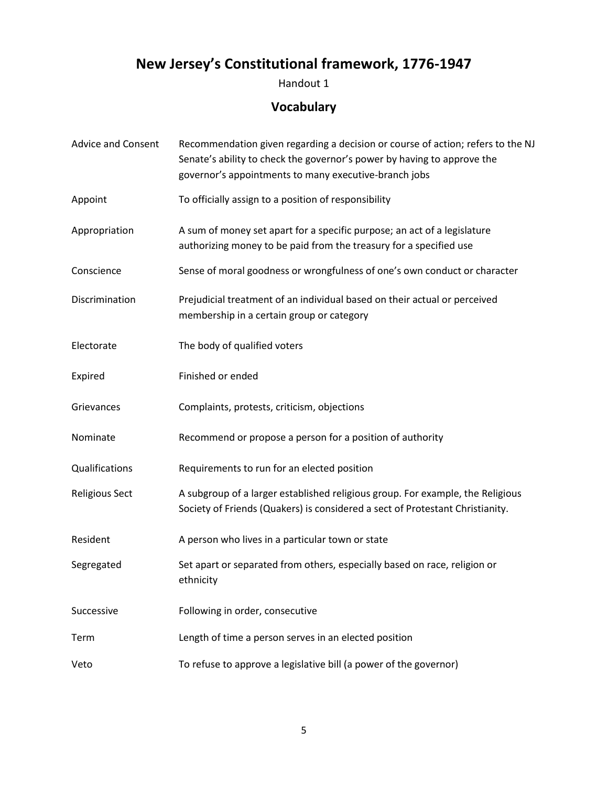# **New Jersey's Constitutional framework, 1776-1947**

Handout 1

## **Vocabulary**

| <b>Advice and Consent</b> | Recommendation given regarding a decision or course of action; refers to the NJ<br>Senate's ability to check the governor's power by having to approve the<br>governor's appointments to many executive-branch jobs |  |
|---------------------------|---------------------------------------------------------------------------------------------------------------------------------------------------------------------------------------------------------------------|--|
| Appoint                   | To officially assign to a position of responsibility                                                                                                                                                                |  |
| Appropriation             | A sum of money set apart for a specific purpose; an act of a legislature<br>authorizing money to be paid from the treasury for a specified use                                                                      |  |
| Conscience                | Sense of moral goodness or wrongfulness of one's own conduct or character                                                                                                                                           |  |
| Discrimination            | Prejudicial treatment of an individual based on their actual or perceived<br>membership in a certain group or category                                                                                              |  |
| Electorate                | The body of qualified voters                                                                                                                                                                                        |  |
| Expired                   | Finished or ended                                                                                                                                                                                                   |  |
| Grievances                | Complaints, protests, criticism, objections                                                                                                                                                                         |  |
| Nominate                  | Recommend or propose a person for a position of authority                                                                                                                                                           |  |
| Qualifications            | Requirements to run for an elected position                                                                                                                                                                         |  |
| <b>Religious Sect</b>     | A subgroup of a larger established religious group. For example, the Religious<br>Society of Friends (Quakers) is considered a sect of Protestant Christianity.                                                     |  |
| Resident                  | A person who lives in a particular town or state                                                                                                                                                                    |  |
| Segregated                | Set apart or separated from others, especially based on race, religion or<br>ethnicity                                                                                                                              |  |
| Successive                | Following in order, consecutive                                                                                                                                                                                     |  |
| Term                      | Length of time a person serves in an elected position                                                                                                                                                               |  |
| Veto                      | To refuse to approve a legislative bill (a power of the governor)                                                                                                                                                   |  |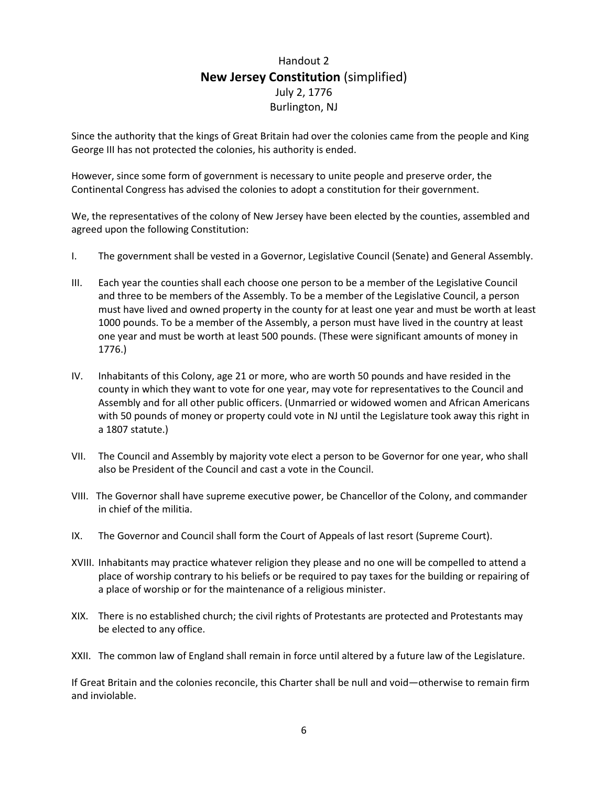## Handout 2 **New Jersey Constitution** (simplified) July 2, 1776 Burlington, NJ

Since the authority that the kings of Great Britain had over the colonies came from the people and King George III has not protected the colonies, his authority is ended.

However, since some form of government is necessary to unite people and preserve order, the Continental Congress has advised the colonies to adopt a constitution for their government.

We, the representatives of the colony of New Jersey have been elected by the counties, assembled and agreed upon the following Constitution:

- I. The government shall be vested in a Governor, Legislative Council (Senate) and General Assembly.
- III. Each year the counties shall each choose one person to be a member of the Legislative Council and three to be members of the Assembly. To be a member of the Legislative Council, a person must have lived and owned property in the county for at least one year and must be worth at least 1000 pounds. To be a member of the Assembly, a person must have lived in the country at least one year and must be worth at least 500 pounds. (These were significant amounts of money in 1776.)
- IV. Inhabitants of this Colony, age 21 or more, who are worth 50 pounds and have resided in the county in which they want to vote for one year, may vote for representatives to the Council and Assembly and for all other public officers. (Unmarried or widowed women and African Americans with 50 pounds of money or property could vote in NJ until the Legislature took away this right in a 1807 statute.)
- VII. The Council and Assembly by majority vote elect a person to be Governor for one year, who shall also be President of the Council and cast a vote in the Council.
- VIII. The Governor shall have supreme executive power, be Chancellor of the Colony, and commander in chief of the militia.
- IX. The Governor and Council shall form the Court of Appeals of last resort (Supreme Court).
- XVIII. Inhabitants may practice whatever religion they please and no one will be compelled to attend a place of worship contrary to his beliefs or be required to pay taxes for the building or repairing of a place of worship or for the maintenance of a religious minister.
- XIX. There is no established church; the civil rights of Protestants are protected and Protestants may be elected to any office.
- XXII. The common law of England shall remain in force until altered by a future law of the Legislature.

If Great Britain and the colonies reconcile, this Charter shall be null and void—otherwise to remain firm and inviolable.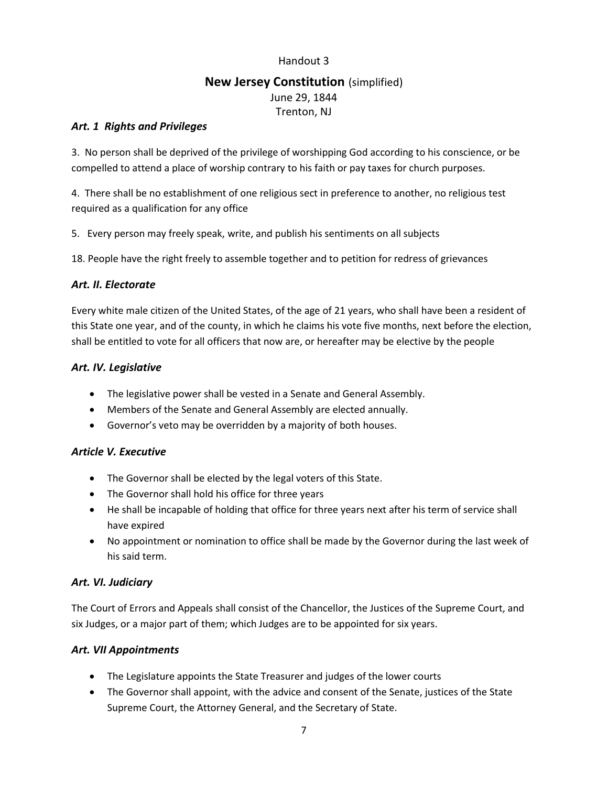#### Handout 3

## **New Jersey Constitution** (simplified) June 29, 1844 Trenton, NJ

#### *Art. 1 Rights and Privileges*

3. No person shall be deprived of the privilege of worshipping God according to his conscience, or be compelled to attend a place of worship contrary to his faith or pay taxes for church purposes.

4. There shall be no establishment of one religious sect in preference to another, no religious test required as a qualification for any office

5. Every person may freely speak, write, and publish his sentiments on all subjects

18. People have the right freely to assemble together and to petition for redress of grievances

#### *Art. II. Electorate*

Every white male citizen of the United States, of the age of 21 years, who shall have been a resident of this State one year, and of the county, in which he claims his vote five months, next before the election, shall be entitled to vote for all officers that now are, or hereafter may be elective by the people

#### *Art. IV. Legislative*

- The legislative power shall be vested in a Senate and General Assembly.
- Members of the Senate and General Assembly are elected annually.
- Governor's veto may be overridden by a majority of both houses.

#### *Article V. Executive*

- The Governor shall be elected by the legal voters of this State.
- The Governor shall hold his office for three years
- He shall be incapable of holding that office for three years next after his term of service shall have expired
- No appointment or nomination to office shall be made by the Governor during the last week of his said term.

#### *Art. VI. Judiciary*

The Court of Errors and Appeals shall consist of the Chancellor, the Justices of the Supreme Court, and six Judges, or a major part of them; which Judges are to be appointed for six years.

#### *Art. VII Appointments*

- The Legislature appoints the State Treasurer and judges of the lower courts
- The Governor shall appoint, with the advice and consent of the Senate, justices of the State Supreme Court, the Attorney General, and the Secretary of State.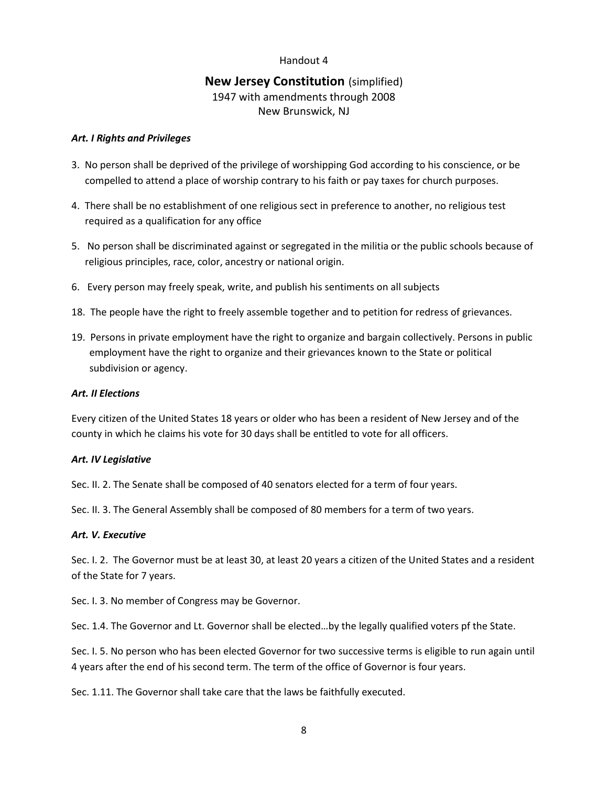#### Handout 4

## **New Jersey Constitution** (simplified) 1947 with amendments through 2008 New Brunswick, NJ

#### *Art. I Rights and Privileges*

- 3. No person shall be deprived of the privilege of worshipping God according to his conscience, or be compelled to attend a place of worship contrary to his faith or pay taxes for church purposes.
- 4. There shall be no establishment of one religious sect in preference to another, no religious test required as a qualification for any office
- 5. No person shall be discriminated against or segregated in the militia or the public schools because of religious principles, race, color, ancestry or national origin.
- 6. Every person may freely speak, write, and publish his sentiments on all subjects
- 18. The people have the right to freely assemble together and to petition for redress of grievances.
- 19. Persons in private employment have the right to organize and bargain collectively. Persons in public employment have the right to organize and their grievances known to the State or political subdivision or agency.

#### *Art. II Elections*

Every citizen of the United States 18 years or older who has been a resident of New Jersey and of the county in which he claims his vote for 30 days shall be entitled to vote for all officers.

#### *Art. IV Legislative*

Sec. II. 2. The Senate shall be composed of 40 senators elected for a term of four years.

Sec. II. 3. The General Assembly shall be composed of 80 members for a term of two years.

#### *Art. V. Executive*

Sec. I. 2. The Governor must be at least 30, at least 20 years a citizen of the United States and a resident of the State for 7 years.

Sec. I. 3. No member of Congress may be Governor.

Sec. 1.4. The Governor and Lt. Governor shall be elected…by the legally qualified voters pf the State.

Sec. I. 5. No person who has been elected Governor for two successive terms is eligible to run again until 4 years after the end of his second term. The term of the office of Governor is four years.

Sec. 1.11. The Governor shall take care that the laws be faithfully executed.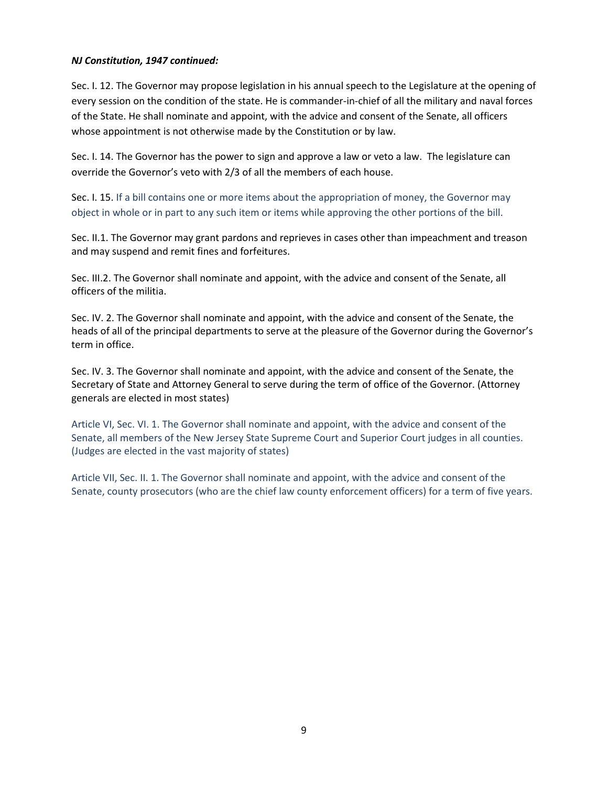#### *NJ Constitution, 1947 continued:*

Sec. I. 12. The Governor may propose legislation in his annual speech to the Legislature at the opening of every session on the condition of the state. He is commander-in-chief of all the military and naval forces of the State. He shall nominate and appoint, with the advice and consent of the Senate, all officers whose appointment is not otherwise made by the Constitution or by law.

Sec. I. 14. The Governor has the power to sign and approve a law or veto a law. The legislature can override the Governor's veto with 2/3 of all the members of each house.

Sec. I. 15. If a bill contains one or more items about the appropriation of money, the Governor may object in whole or in part to any such item or items while approving the other portions of the bill.

Sec. II.1. The Governor may grant pardons and reprieves in cases other than impeachment and treason and may suspend and remit fines and forfeitures.

Sec. III.2. The Governor shall nominate and appoint, with the advice and consent of the Senate, all officers of the militia.

Sec. IV. 2. The Governor shall nominate and appoint, with the advice and consent of the Senate, the heads of all of the principal departments to serve at the pleasure of the Governor during the Governor's term in office.

Sec. IV. 3. The Governor shall nominate and appoint, with the advice and consent of the Senate, the Secretary of State and Attorney General to serve during the term of office of the Governor. (Attorney generals are elected in most states)

Article VI, Sec. VI. 1. The Governor shall nominate and appoint, with the advice and consent of the Senate, all members of the New Jersey State Supreme Court and Superior Court judges in all counties. (Judges are elected in the vast majority of states)

Article VII, Sec. II. 1. The Governor shall nominate and appoint, with the advice and consent of the Senate, county prosecutors (who are the chief law county enforcement officers) for a term of five years.